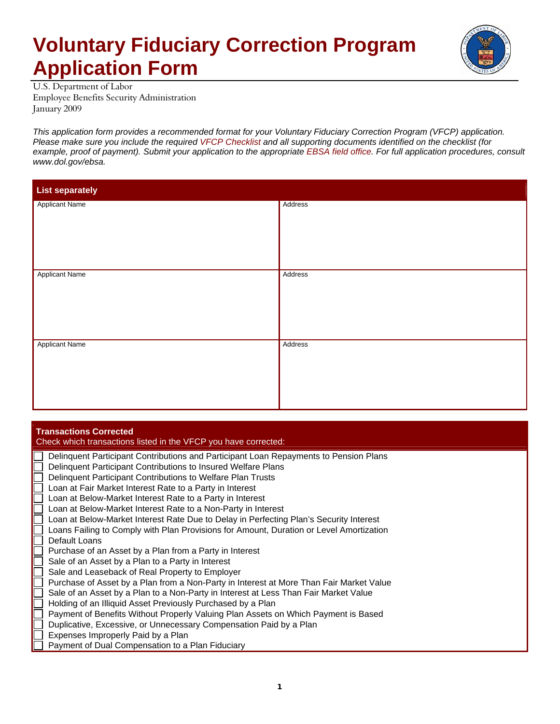## **Voluntary Fiduciary Correction Program Application Form**



U.S. Department of Labor Employee Benefits Security Administration January 2009

*This application form provides a recommended format for your Voluntary Fiduciary Correction Program (VFCP) application. Please make sure you include the required VFCP Checklist and all supporting documents identified on the checklist (for*  example, proof of payment). Submit your application to the appropriate EBSA field office. For full application procedures, consult *www.dol.gov/ebsa.* 

| <b>List separately</b> |         |  |
|------------------------|---------|--|
| <b>Applicant Name</b>  | Address |  |
| <b>Applicant Name</b>  | Address |  |
| <b>Applicant Name</b>  | Address |  |

## **Transactions Corrected**

Check which transactions listed in the VFCP you have corrected: Delinquent Participant Contributions and Participant Loan Repayments to Pension Plans Delinquent Participant Contributions to Insured Welfare Plans Delinquent Participant Contributions to Welfare Plan Trusts Loan at Fair Market Interest Rate to a Party in Interest

- Loan at Below-Market Interest Rate to a Party in Interest
- Loan at Below-Market Interest Rate to a Non-Party in Interest
- Loan at Below-Market Interest Rate Due to Delay in Perfecting Plan's Security Interest
- Loans Failing to Comply with Plan Provisions for Amount, Duration or Level Amortization
- Default Loans
- Purchase of an Asset by a Plan from a Party in Interest
- Sale of an Asset by a Plan to a Party in Interest
- Sale and Leaseback of Real Property to Employer
- Purchase of Asset by a Plan from a Non-Party in Interest at More Than Fair Market Value
- Sale of an Asset by a Plan to a Non-Party in Interest at Less Than Fair Market Value
- Holding of an Illiquid Asset Previously Purchased by a Plan
- Payment of Benefits Without Properly Valuing Plan Assets on Which Payment is Based
- Duplicative, Excessive, or Unnecessary Compensation Paid by a Plan
- Expenses Improperly Paid by a Plan
- Payment of Dual Compensation to a Plan Fiduciary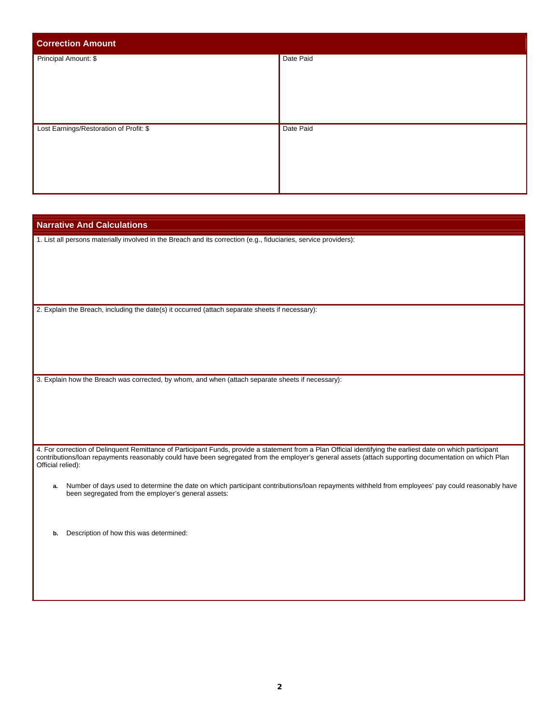| <b>Correction Amount</b>                |           |
|-----------------------------------------|-----------|
| Principal Amount: \$                    | Date Paid |
| Lost Earnings/Restoration of Profit: \$ | Date Paid |

| <b>Narrative And Calculations</b>                                                                                                                                                                                                                                                                                                          |
|--------------------------------------------------------------------------------------------------------------------------------------------------------------------------------------------------------------------------------------------------------------------------------------------------------------------------------------------|
| 1. List all persons materially involved in the Breach and its correction (e.g., fiduciaries, service providers):                                                                                                                                                                                                                           |
|                                                                                                                                                                                                                                                                                                                                            |
|                                                                                                                                                                                                                                                                                                                                            |
|                                                                                                                                                                                                                                                                                                                                            |
| 2. Explain the Breach, including the date(s) it occurred (attach separate sheets if necessary):                                                                                                                                                                                                                                            |
|                                                                                                                                                                                                                                                                                                                                            |
|                                                                                                                                                                                                                                                                                                                                            |
|                                                                                                                                                                                                                                                                                                                                            |
| 3. Explain how the Breach was corrected, by whom, and when (attach separate sheets if necessary):                                                                                                                                                                                                                                          |
|                                                                                                                                                                                                                                                                                                                                            |
|                                                                                                                                                                                                                                                                                                                                            |
|                                                                                                                                                                                                                                                                                                                                            |
| 4. For correction of Delinquent Remittance of Participant Funds, provide a statement from a Plan Official identifying the earliest date on which participant<br>contributions/loan repayments reasonably could have been segregated from the employer's general assets (attach supporting documentation on which Plan<br>Official relied): |
| Number of days used to determine the date on which participant contributions/loan repayments withheld from employees' pay could reasonably have<br>a.<br>been segregated from the employer's general assets:                                                                                                                               |
|                                                                                                                                                                                                                                                                                                                                            |
| Description of how this was determined:<br>b.                                                                                                                                                                                                                                                                                              |
|                                                                                                                                                                                                                                                                                                                                            |
|                                                                                                                                                                                                                                                                                                                                            |
|                                                                                                                                                                                                                                                                                                                                            |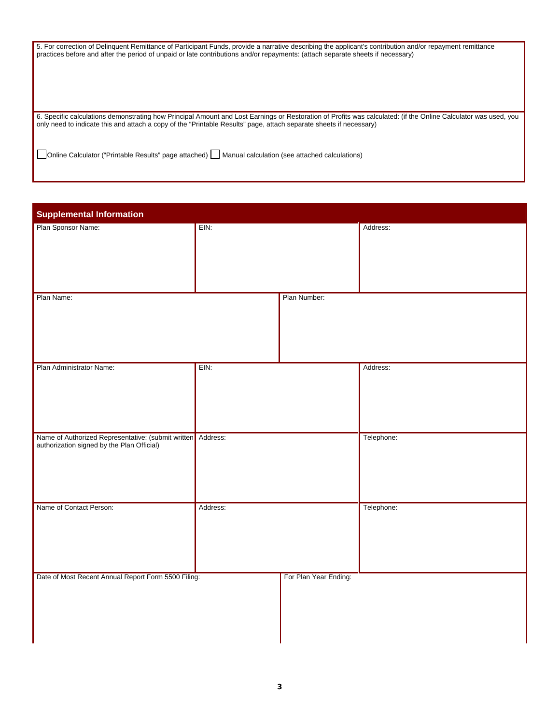| 5. For correction of Delinguent Remittance of Participant Funds, provide a narrative describing the applicant's contribution and/or repayment remittance<br>practices before and after the period of unpaid or late contributions and/or repayments: (attach separate sheets if necessary) |
|--------------------------------------------------------------------------------------------------------------------------------------------------------------------------------------------------------------------------------------------------------------------------------------------|
| 6. Specific calculations demonstrating how Principal Amount and Lost Earnings or Restoration of Profits was calculated: (if the Online Calculator was used, you<br>only need to indicate this and attach a copy of the "Printable Results" page, attach separate sheets if necessary)      |
| Online Calculator ("Printable Results" page attached)   Manual calculation (see attached calculations)                                                                                                                                                                                     |

| <b>Supplemental Information</b>                             |          |                       |            |
|-------------------------------------------------------------|----------|-----------------------|------------|
| Plan Sponsor Name:                                          | EIN:     |                       | Address:   |
|                                                             |          |                       |            |
|                                                             |          |                       |            |
|                                                             |          |                       |            |
| Plan Name:                                                  |          | Plan Number:          |            |
|                                                             |          |                       |            |
|                                                             |          |                       |            |
|                                                             |          |                       |            |
|                                                             |          |                       |            |
| Plan Administrator Name:                                    | EIN:     |                       | Address:   |
|                                                             |          |                       |            |
|                                                             |          |                       |            |
|                                                             |          |                       |            |
| Name of Authorized Representative: (submit written Address: |          |                       | Telephone: |
| authorization signed by the Plan Official)                  |          |                       |            |
|                                                             |          |                       |            |
|                                                             |          |                       |            |
|                                                             |          |                       |            |
| Name of Contact Person:                                     | Address: |                       | Telephone: |
|                                                             |          |                       |            |
|                                                             |          |                       |            |
|                                                             |          |                       |            |
| Date of Most Recent Annual Report Form 5500 Filing:         |          | For Plan Year Ending: |            |
|                                                             |          |                       |            |
|                                                             |          |                       |            |
|                                                             |          |                       |            |
|                                                             |          |                       |            |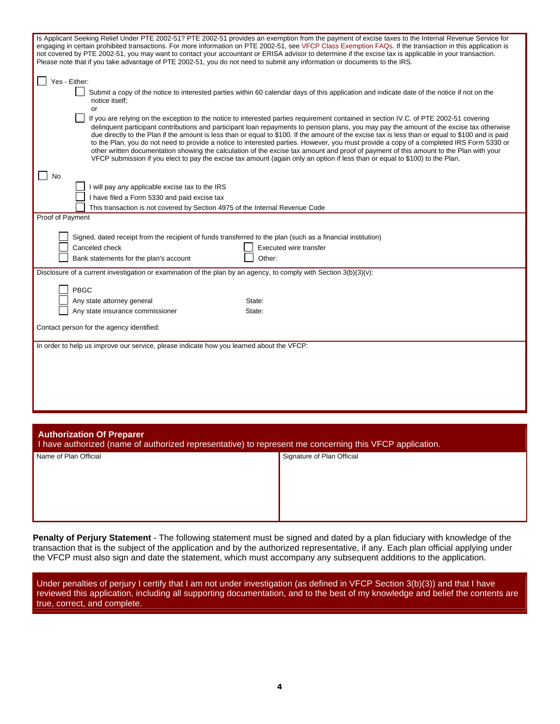| Is Applicant Seeking Relief Under PTE 2002-51? PTE 2002-51 provides an exemption from the payment of excise taxes to the Internal Revenue Service for<br>engaging in certain prohibited transactions. For more information on PTE 2002-51, see VFCP Class Exemption FAQs. If the transaction in this application is<br>not covered by PTE 2002-51, you may want to contact your accountant or ERISA advisor to determine if the excise tax is applicable in your transaction.<br>Please note that if you take advantage of PTE 2002-51, you do not need to submit any information or documents to the IRS.                                                                                                                                                                                                                                                     |  |  |
|----------------------------------------------------------------------------------------------------------------------------------------------------------------------------------------------------------------------------------------------------------------------------------------------------------------------------------------------------------------------------------------------------------------------------------------------------------------------------------------------------------------------------------------------------------------------------------------------------------------------------------------------------------------------------------------------------------------------------------------------------------------------------------------------------------------------------------------------------------------|--|--|
| Yes - Either:<br>Submit a copy of the notice to interested parties within 60 calendar days of this application and indicate date of the notice if not on the<br>notice itself;<br>or                                                                                                                                                                                                                                                                                                                                                                                                                                                                                                                                                                                                                                                                           |  |  |
| If you are relying on the exception to the notice to interested parties requirement contained in section IV.C. of PTE 2002-51 covering<br>delinguent participant contributions and participant loan repayments to pension plans, you may pay the amount of the excise tax otherwise<br>due directly to the Plan if the amount is less than or equal to \$100. If the amount of the excise tax is less than or equal to \$100 and is paid<br>to the Plan, you do not need to provide a notice to interested parties. However, you must provide a copy of a completed IRS Form 5330 or<br>other written documentation showing the calculation of the excise tax amount and proof of payment of this amount to the Plan with your<br>VFCP submission if you elect to pay the excise tax amount (again only an option if less than or equal to \$100) to the Plan. |  |  |
| No                                                                                                                                                                                                                                                                                                                                                                                                                                                                                                                                                                                                                                                                                                                                                                                                                                                             |  |  |
| I will pay any applicable excise tax to the IRS                                                                                                                                                                                                                                                                                                                                                                                                                                                                                                                                                                                                                                                                                                                                                                                                                |  |  |
| I have filed a Form 5330 and paid excise tax<br>This transaction is not covered by Section 4975 of the Internal Revenue Code                                                                                                                                                                                                                                                                                                                                                                                                                                                                                                                                                                                                                                                                                                                                   |  |  |
| Proof of Payment                                                                                                                                                                                                                                                                                                                                                                                                                                                                                                                                                                                                                                                                                                                                                                                                                                               |  |  |
| Signed, dated receipt from the recipient of funds transferred to the plan (such as a financial institution)<br>Canceled check<br>Executed wire transfer<br>Bank statements for the plan's account<br>Other:                                                                                                                                                                                                                                                                                                                                                                                                                                                                                                                                                                                                                                                    |  |  |
| Disclosure of a current investigation or examination of the plan by an agency, to comply with Section $3(b)(3)(v)$ :                                                                                                                                                                                                                                                                                                                                                                                                                                                                                                                                                                                                                                                                                                                                           |  |  |
| PBGC                                                                                                                                                                                                                                                                                                                                                                                                                                                                                                                                                                                                                                                                                                                                                                                                                                                           |  |  |
| Any state attorney general<br>State:                                                                                                                                                                                                                                                                                                                                                                                                                                                                                                                                                                                                                                                                                                                                                                                                                           |  |  |
| Any state insurance commissioner<br>State:                                                                                                                                                                                                                                                                                                                                                                                                                                                                                                                                                                                                                                                                                                                                                                                                                     |  |  |
| Contact person for the agency identified:                                                                                                                                                                                                                                                                                                                                                                                                                                                                                                                                                                                                                                                                                                                                                                                                                      |  |  |
| In order to help us improve our service, please indicate how you learned about the VFCP:                                                                                                                                                                                                                                                                                                                                                                                                                                                                                                                                                                                                                                                                                                                                                                       |  |  |
|                                                                                                                                                                                                                                                                                                                                                                                                                                                                                                                                                                                                                                                                                                                                                                                                                                                                |  |  |
|                                                                                                                                                                                                                                                                                                                                                                                                                                                                                                                                                                                                                                                                                                                                                                                                                                                                |  |  |
|                                                                                                                                                                                                                                                                                                                                                                                                                                                                                                                                                                                                                                                                                                                                                                                                                                                                |  |  |
|                                                                                                                                                                                                                                                                                                                                                                                                                                                                                                                                                                                                                                                                                                                                                                                                                                                                |  |  |
|                                                                                                                                                                                                                                                                                                                                                                                                                                                                                                                                                                                                                                                                                                                                                                                                                                                                |  |  |
|                                                                                                                                                                                                                                                                                                                                                                                                                                                                                                                                                                                                                                                                                                                                                                                                                                                                |  |  |
| <b>Authorization Of Preparer</b><br>I have authorized (name of authorized representative) to represent me concerning this VFCP application.                                                                                                                                                                                                                                                                                                                                                                                                                                                                                                                                                                                                                                                                                                                    |  |  |

|                       | . .<br>. .                 |
|-----------------------|----------------------------|
| Name of Plan Official | Signature of Plan Official |
|                       |                            |
|                       |                            |
|                       |                            |
|                       |                            |
|                       |                            |
|                       |                            |
|                       |                            |

**Penalty of Perjury Statement** - The following statement must be signed and dated by a plan fiduciary with knowledge of the transaction that is the subject of the application and by the authorized representative, if any. Each plan official applying under the VFCP must also sign and date the statement, which must accompany any subsequent additions to the application.

Under penalties of perjury I certify that I am not under investigation (as defined in VFCP Section 3(b)(3)) and that I have reviewed this application, including all supporting documentation, and to the best of my knowledge and belief the contents are true, correct, and complete.